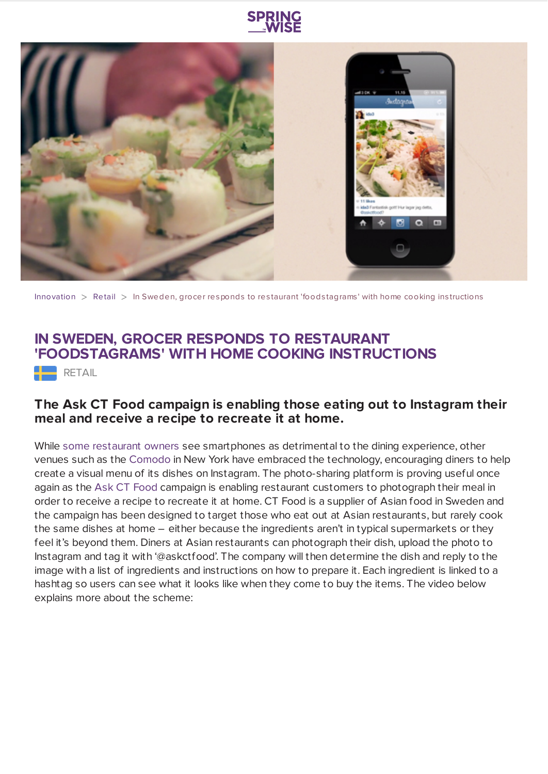



[Innovation](https://www.springwise.com/search?type=innovation)  $>$  [Retail](https://www.springwise.com/search?type=innovation§or=retail)  $>$  In Sweden, grocer responds to restaurant 'foodstagrams' with home cooking instructions

## **IN SWEDEN, GROCER RESPONDS TO RESTAURANT 'FOODSTAGRAMS' WITH HOME COOKING INSTRUCTIONS**

 $RETAIL$ 

## **The Ask CT Food campaign is enabling those eating out to Instagram their meal and receive a recipe to recreate it at home.**

While some [restaurant](https://www.springwise.com/lifestyle_leisure/rewards-offered-diners-leave-smartphones-door/) owners see smartphones as detrimental to the dining experience, other venues such as the [Comodo](https://www.springwise.com/food_beverage/in-york-restaurant-taps-instagram-users-create-visual-menu/) in New York have embraced the technology, encouraging diners to help create a visual menu of its dishes on Instagram. The photo-sharing platform is proving useful once again as the Ask CT [Food](http://askctfood.se/) campaign is enabling restaurant customers to photograph their meal in order to receive a recipe to recreate it at home. CT Food is a supplier of Asian food in Sweden and the campaign has been designed to target those who eat out at Asian restaurants, but rarely cook the same dishes at home – either because the ingredients aren't in typical supermarkets or they feel it's beyond them. Diners at Asian restaurants can photograph their dish, upload the photo to Instagram and tag it with '@askctfood'. The company will then determine the dish and reply to the image with a list of ingredients and instructions on how to prepare it. Each ingredient is linked to a hashtag so users can see what it looks like when they come to buy the items. The video below explains more about the scheme: